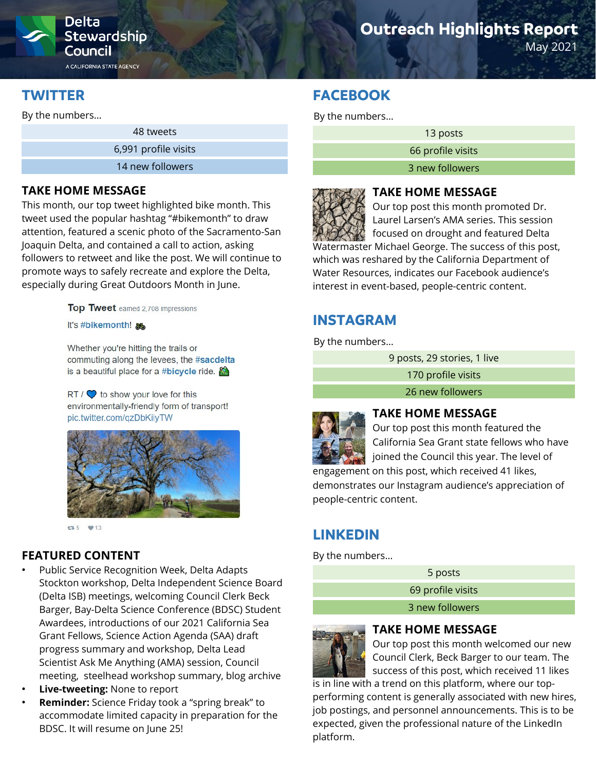

Stewardship Council

A CALIFORNIA STATE AGENCY

# **TWITTER**

By the numbers…

48 tweets

6,991 profile visits

14 new followers

### **TAKE HOME MESSAGE**

This month, our top tweet highlighted bike month. This tweet used the popular hashtag "#bikemonth" to draw attention, featured a scenic photo of the Sacramento-San Joaquin Delta, and contained a call to action, asking followers to retweet and like the post. We will continue to promote ways to safely recreate and explore the Delta, especially during Great Outdoors Month in June.

Top Tweet earned 2,708 impressions

#### It's #bikemonth!

Whether you're hitting the trails or commuting along the levees, the #sacdelta is a beautiful place for a #bicycle ride.

 $RT / Q$  to show your love for this environmentally-friendly form of transport! pic.twitter.com/qzDbKiiyTW



13.5 ₩13

## **FEATURED CONTENT**

- Public Service Recognition Week, Delta Adapts Stockton workshop, Delta Independent Science Board (Delta ISB) meetings, welcoming Council Clerk Beck Barger, Bay-Delta Science Conference (BDSC) Student Awardees, introductions of our 2021 California Sea Grant Fellows, Science Action Agenda (SAA) draft progress summary and workshop, Delta Lead Scientist Ask Me Anything (AMA) session, Council meeting, steelhead workshop summary, blog archive
- **Live-tweeting:** None to report
- **Reminder:** Science Friday took a "spring break" to accommodate limited capacity in preparation for the BDSC. It will resume on June 25!

# **Outreach Highlights Report**

May 2021

# **FACEBOOK**

By the numbers…

13 posts

66 profile visits

3 new followers



## **TAKE HOME MESSAGE**

Our top post this month promoted Dr. Laurel Larsen's AMA series. This session focused on drought and featured Delta

Watermaster Michael George. The success of this post, which was reshared by the California Department of Water Resources, indicates our Facebook audience's interest in event-based, people-centric content.

# **INSTAGRAM**

By the numbers…

9 posts, 29 stories, 1 live

170 profile visits

26 new followers



#### **TAKE HOME MESSAGE**

Our top post this month featured the California Sea Grant state fellows who have joined the Council this year. The level of

engagement on this post, which received 41 likes, demonstrates our Instagram audience's appreciation of people-centric content.

# **LINKEDIN**

By the numbers…

5 posts 69 profile visits 3 new followers



#### **TAKE HOME MESSAGE**

Our top post this month welcomed our new Council Clerk, Beck Barger to our team. The success of this post, which received 11 likes

is in line with a trend on this platform, where our topperforming content is generally associated with new hires, job postings, and personnel announcements. This is to be expected, given the professional nature of the LinkedIn platform.